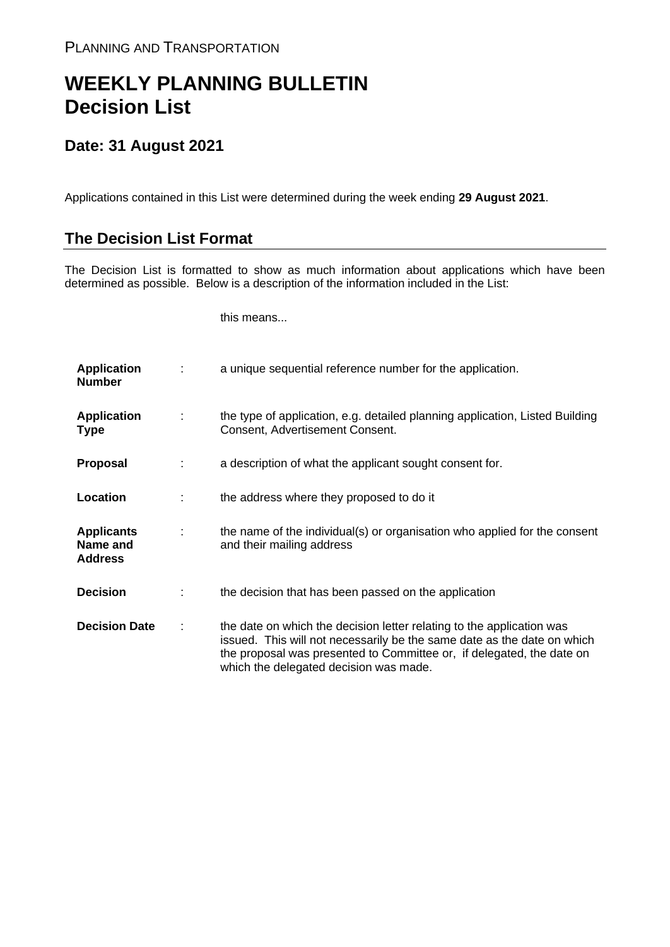## **WEEKLY PLANNING BULLETIN Decision List**

## **Date: 31 August 2021**

Applications contained in this List were determined during the week ending **29 August 2021**.

## **The Decision List Format**

The Decision List is formatted to show as much information about applications which have been determined as possible. Below is a description of the information included in the List:

this means...

| <b>Application</b><br><b>Number</b>             | a unique sequential reference number for the application.                                                                                                                                                                                                           |
|-------------------------------------------------|---------------------------------------------------------------------------------------------------------------------------------------------------------------------------------------------------------------------------------------------------------------------|
| <b>Application</b><br><b>Type</b>               | the type of application, e.g. detailed planning application, Listed Building<br>Consent, Advertisement Consent.                                                                                                                                                     |
| <b>Proposal</b>                                 | a description of what the applicant sought consent for.                                                                                                                                                                                                             |
| Location                                        | the address where they proposed to do it                                                                                                                                                                                                                            |
| <b>Applicants</b><br>Name and<br><b>Address</b> | the name of the individual(s) or organisation who applied for the consent<br>and their mailing address                                                                                                                                                              |
| <b>Decision</b>                                 | the decision that has been passed on the application                                                                                                                                                                                                                |
| <b>Decision Date</b>                            | the date on which the decision letter relating to the application was<br>issued. This will not necessarily be the same date as the date on which<br>the proposal was presented to Committee or, if delegated, the date on<br>which the delegated decision was made. |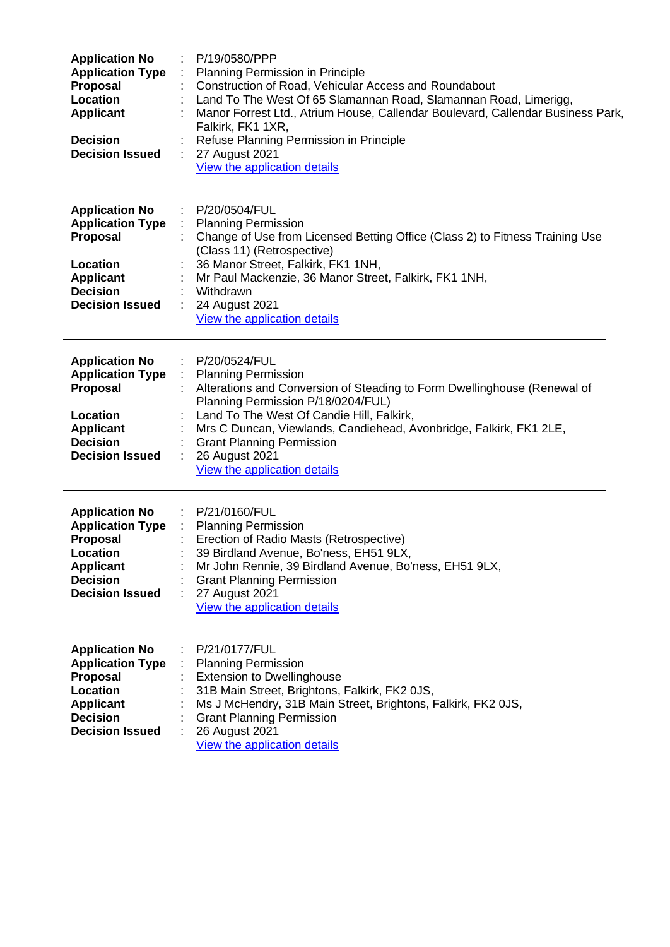| <b>Application No</b><br><b>Application Type</b><br>Proposal<br>Location<br><b>Applicant</b><br><b>Decision</b><br><b>Decision Issued</b>               | P/19/0580/PPP<br>Planning Permission in Principle<br>Construction of Road, Vehicular Access and Roundabout<br>Land To The West Of 65 Slamannan Road, Slamannan Road, Limerigg,<br>Manor Forrest Ltd., Atrium House, Callendar Boulevard, Callendar Business Park,<br>Falkirk, FK1 1XR,<br>Refuse Planning Permission in Principle<br>27 August 2021<br>÷<br>View the application details |
|---------------------------------------------------------------------------------------------------------------------------------------------------------|------------------------------------------------------------------------------------------------------------------------------------------------------------------------------------------------------------------------------------------------------------------------------------------------------------------------------------------------------------------------------------------|
| <b>Application No</b><br><b>Application Type</b><br><b>Proposal</b><br>Location<br><b>Applicant</b><br><b>Decision</b><br><b>Decision Issued</b>        | P/20/0504/FUL<br>÷<br>$\mathbb{Z}^2$<br><b>Planning Permission</b><br>Change of Use from Licensed Betting Office (Class 2) to Fitness Training Use<br>(Class 11) (Retrospective)<br>36 Manor Street, Falkirk, FK1 1NH,<br>Mr Paul Mackenzie, 36 Manor Street, Falkirk, FK1 1NH,<br>Withdrawn<br>24 August 2021<br>÷<br>View the application details                                      |
| <b>Application No</b><br><b>Application Type</b><br>Proposal<br>Location<br><b>Applicant</b><br><b>Decision</b><br><b>Decision Issued</b>               | P/20/0524/FUL<br><b>Planning Permission</b><br>Alterations and Conversion of Steading to Form Dwellinghouse (Renewal of<br>Planning Permission P/18/0204/FUL)<br>Land To The West Of Candie Hill, Falkirk,<br>Mrs C Duncan, Viewlands, Candiehead, Avonbridge, Falkirk, FK1 2LE,<br><b>Grant Planning Permission</b><br>26 August 2021<br>View the application details                   |
| <b>Application No</b><br><b>Application Type</b><br><b>Proposal</b><br><b>Location</b><br><b>Applicant</b><br><b>Decision</b><br><b>Decision Issued</b> | P/21/0160/FUL<br><b>Planning Permission</b><br>Erection of Radio Masts (Retrospective)<br>39 Birdland Avenue, Bo'ness, EH51 9LX,<br>Mr John Rennie, 39 Birdland Avenue, Bo'ness, EH51 9LX,<br><b>Grant Planning Permission</b><br>27 August 2021<br>View the application details                                                                                                         |
| <b>Application No</b><br><b>Application Type</b><br><b>Proposal</b><br>Location<br><b>Applicant</b><br><b>Decision</b><br><b>Decision Issued</b>        | P/21/0177/FUL<br><b>Planning Permission</b><br><b>Extension to Dwellinghouse</b><br>31B Main Street, Brightons, Falkirk, FK2 0JS,<br>Ms J McHendry, 31B Main Street, Brightons, Falkirk, FK2 0JS,<br><b>Grant Planning Permission</b><br>26 August 2021<br>View the application details                                                                                                  |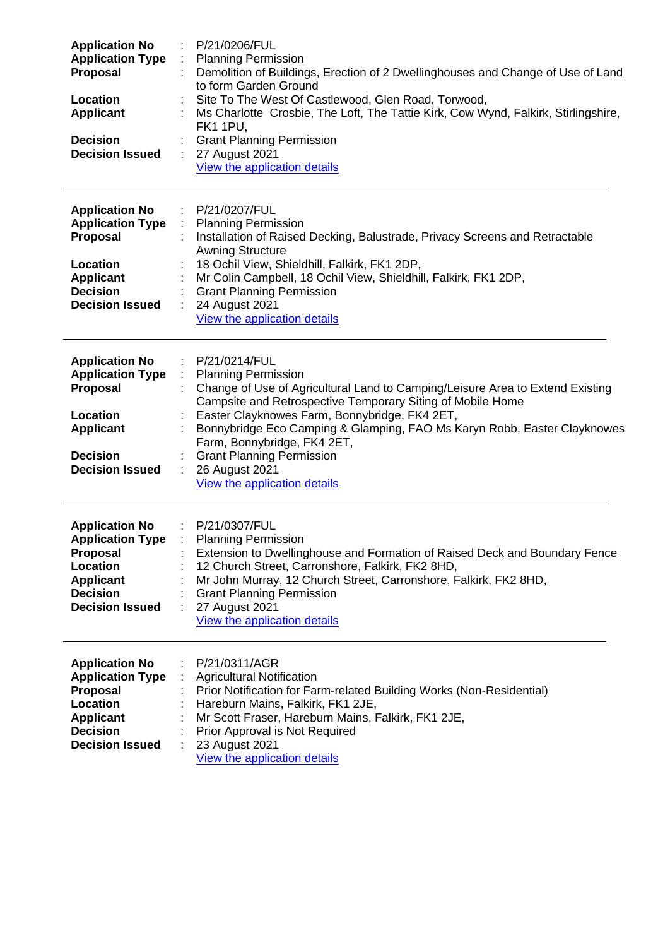| <b>Application No</b><br><b>Application Type</b><br>Proposal<br>Location<br><b>Applicant</b><br><b>Decision</b><br><b>Decision Issued</b>        | P/21/0206/FUL<br><b>Planning Permission</b><br>Demolition of Buildings, Erection of 2 Dwellinghouses and Change of Use of Land<br>to form Garden Ground<br>Site To The West Of Castlewood, Glen Road, Torwood,<br>Ms Charlotte Crosbie, The Loft, The Tattie Kirk, Cow Wynd, Falkirk, Stirlingshire,<br><b>FK1 1PU,</b><br><b>Grant Planning Permission</b><br>27 August 2021<br>View the application details                                     |
|--------------------------------------------------------------------------------------------------------------------------------------------------|---------------------------------------------------------------------------------------------------------------------------------------------------------------------------------------------------------------------------------------------------------------------------------------------------------------------------------------------------------------------------------------------------------------------------------------------------|
| <b>Application No</b><br><b>Application Type</b><br>Proposal<br>Location<br><b>Applicant</b><br><b>Decision</b><br><b>Decision Issued</b>        | P/21/0207/FUL<br>÷<br><b>Planning Permission</b><br>$\ddot{\phantom{a}}$<br>Installation of Raised Decking, Balustrade, Privacy Screens and Retractable<br><b>Awning Structure</b><br>18 Ochil View, Shieldhill, Falkirk, FK1 2DP,<br>Mr Colin Campbell, 18 Ochil View, Shieldhill, Falkirk, FK1 2DP,<br><b>Grant Planning Permission</b><br>24 August 2021<br>View the application details                                                       |
| <b>Application No</b><br><b>Application Type</b><br>Proposal<br>Location<br><b>Applicant</b><br><b>Decision</b><br><b>Decision Issued</b>        | P/21/0214/FUL<br>÷<br><b>Planning Permission</b><br>Change of Use of Agricultural Land to Camping/Leisure Area to Extend Existing<br>Campsite and Retrospective Temporary Siting of Mobile Home<br>Easter Clayknowes Farm, Bonnybridge, FK4 2ET,<br>Bonnybridge Eco Camping & Glamping, FAO Ms Karyn Robb, Easter Clayknowes<br>Farm, Bonnybridge, FK4 2ET,<br><b>Grant Planning Permission</b><br>26 August 2021<br>View the application details |
| <b>Application No</b><br><b>Application Type</b><br><b>Proposal</b><br>Location<br><b>Applicant</b><br><b>Decision</b><br><b>Decision Issued</b> | P/21/0307/FUL<br><b>Planning Permission</b><br>Extension to Dwellinghouse and Formation of Raised Deck and Boundary Fence<br>12 Church Street, Carronshore, Falkirk, FK2 8HD,<br>Mr John Murray, 12 Church Street, Carronshore, Falkirk, FK2 8HD,<br><b>Grant Planning Permission</b><br>27 August 2021<br>View the application details                                                                                                           |
| <b>Application No</b><br><b>Application Type</b><br>Proposal<br>Location<br><b>Applicant</b><br><b>Decision</b><br><b>Decision Issued</b>        | P/21/0311/AGR<br>÷<br><b>Agricultural Notification</b><br>Prior Notification for Farm-related Building Works (Non-Residential)<br>Hareburn Mains, Falkirk, FK1 2JE,<br>Mr Scott Fraser, Hareburn Mains, Falkirk, FK1 2JE,<br>Prior Approval is Not Required<br>23 August 2021<br>View the application details                                                                                                                                     |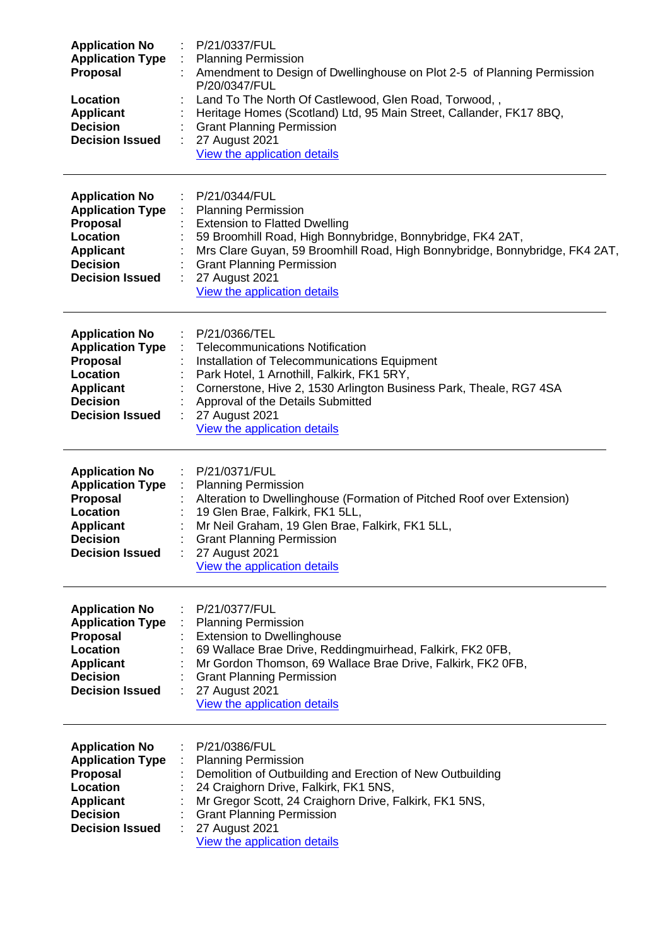| <b>Application No</b><br><b>Application Type</b><br>Proposal<br>Location<br><b>Applicant</b><br><b>Decision</b><br><b>Decision Issued</b>        | P/21/0337/FUL<br><b>Planning Permission</b><br>Amendment to Design of Dwellinghouse on Plot 2-5 of Planning Permission<br>P/20/0347/FUL<br>Land To The North Of Castlewood, Glen Road, Torwood,,<br>Heritage Homes (Scotland) Ltd, 95 Main Street, Callander, FK17 8BQ,<br><b>Grant Planning Permission</b><br>27 August 2021<br>View the application details |
|--------------------------------------------------------------------------------------------------------------------------------------------------|---------------------------------------------------------------------------------------------------------------------------------------------------------------------------------------------------------------------------------------------------------------------------------------------------------------------------------------------------------------|
| <b>Application No</b><br><b>Application Type</b><br>Proposal<br>Location<br><b>Applicant</b><br><b>Decision</b><br><b>Decision Issued</b>        | P/21/0344/FUL<br><b>Planning Permission</b><br>÷<br><b>Extension to Flatted Dwelling</b><br>59 Broomhill Road, High Bonnybridge, Bonnybridge, FK4 2AT,<br>Mrs Clare Guyan, 59 Broomhill Road, High Bonnybridge, Bonnybridge, FK4 2AT,<br><b>Grant Planning Permission</b><br>27 August 2021<br>View the application details                                   |
| <b>Application No</b><br><b>Application Type</b><br>Proposal<br>Location<br><b>Applicant</b><br><b>Decision</b><br><b>Decision Issued</b>        | P/21/0366/TEL<br>÷<br><b>Telecommunications Notification</b><br>Installation of Telecommunications Equipment<br>Park Hotel, 1 Arnothill, Falkirk, FK1 5RY,<br>Cornerstone, Hive 2, 1530 Arlington Business Park, Theale, RG7 4SA<br>Approval of the Details Submitted<br>27 August 2021<br>View the application details                                       |
| <b>Application No</b><br><b>Application Type</b><br><b>Proposal</b><br>Location<br><b>Applicant</b><br><b>Decision</b><br><b>Decision Issued</b> | P/21/0371/FUL<br><b>Planning Permission</b><br>Alteration to Dwellinghouse (Formation of Pitched Roof over Extension)<br>19 Glen Brae, Falkirk, FK1 5LL,<br>Mr Neil Graham, 19 Glen Brae, Falkirk, FK1 5LL,<br><b>Grant Planning Permission</b><br>27 August 2021<br>View the application details                                                             |
| <b>Application No</b><br><b>Application Type</b><br>Proposal<br>Location<br>Applicant<br><b>Decision</b><br><b>Decision Issued</b>               | P/21/0377/FUL<br><b>Planning Permission</b><br><b>Extension to Dwellinghouse</b><br>69 Wallace Brae Drive, Reddingmuirhead, Falkirk, FK2 0FB,<br>Mr Gordon Thomson, 69 Wallace Brae Drive, Falkirk, FK2 0FB,<br><b>Grant Planning Permission</b><br>27 August 2021<br>View the application details                                                            |
| <b>Application No</b><br><b>Application Type</b><br>Proposal<br>Location<br><b>Applicant</b><br><b>Decision</b><br><b>Decision Issued</b>        | P/21/0386/FUL<br><b>Planning Permission</b><br>Demolition of Outbuilding and Erection of New Outbuilding<br>24 Craighorn Drive, Falkirk, FK1 5NS,<br>Mr Gregor Scott, 24 Craighorn Drive, Falkirk, FK1 5NS,<br><b>Grant Planning Permission</b><br>27 August 2021<br>View the application details                                                             |